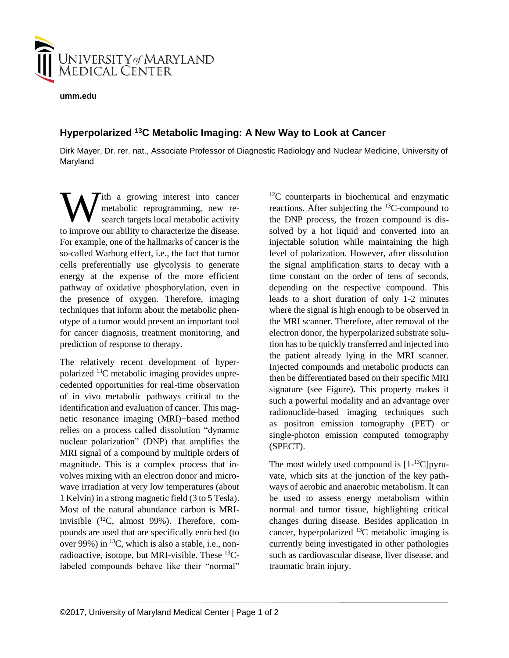

**umm.edu**

## **Hyperpolarized <sup>13</sup>C Metabolic Imaging: A New Way to Look at Cancer**

Dirk Mayer, Dr. rer. nat., Associate Professor of Diagnostic Radiology and Nuclear Medicine, University of Maryland

ith a growing interest into cancer metabolic reprogramming, new research targets local metabolic activity W ith a growing interest into cancer<br>metabolic reprogramming, new re-<br>search targets local metabolic activity<br>to improve our ability to characterize the disease. For example, one of the hallmarks of cancer is the so-called Warburg effect, i.e., the fact that tumor cells preferentially use glycolysis to generate energy at the expense of the more efficient pathway of oxidative phosphorylation, even in the presence of oxygen. Therefore, imaging techniques that inform about the metabolic phenotype of a tumor would present an important tool for cancer diagnosis, treatment monitoring, and prediction of response to therapy.

The relatively recent development of hyperpolarized 13C metabolic imaging provides unprecedented opportunities for real-time observation of in vivo metabolic pathways critical to the identification and evaluation of cancer. This magnetic resonance imaging (MRI)−based method relies on a process called dissolution "dynamic nuclear polarization" (DNP) that amplifies the MRI signal of a compound by multiple orders of magnitude. This is a complex process that involves mixing with an electron donor and microwave irradiation at very low temperatures (about 1 Kelvin) in a strong magnetic field (3 to 5 Tesla). Most of the natural abundance carbon is MRIinvisible  $(^{12}C$ , almost 99%). Therefore, compounds are used that are specifically enriched (to over 99%) in  $^{13}C$ , which is also a stable, i.e., nonradioactive, isotope, but MRI-visible. These  $^{13}C$ labeled compounds behave like their "normal"  $12^{\circ}$ C counterparts in biochemical and enzymatic reactions. After subjecting the <sup>13</sup>C-compound to the DNP process, the frozen compound is dissolved by a hot liquid and converted into an injectable solution while maintaining the high level of polarization. However, after dissolution the signal amplification starts to decay with a time constant on the order of tens of seconds, depending on the respective compound. This leads to a short duration of only 1-2 minutes where the signal is high enough to be observed in the MRI scanner. Therefore, after removal of the electron donor, the hyperpolarized substrate solution has to be quickly transferred and injected into the patient already lying in the MRI scanner. Injected compounds and metabolic products can then be differentiated based on their specific MRI signature (see Figure). This property makes it such a powerful modality and an advantage over radionuclide-based imaging techniques such as positron emission tomography (PET) or single-photon emission computed tomography (SPECT).

The most widely used compound is  $[1$ <sup>-13</sup>C]pyruvate, which sits at the junction of the key pathways of aerobic and anaerobic metabolism. It can be used to assess energy metabolism within normal and tumor tissue, highlighting critical changes during disease. Besides application in cancer, hyperpolarized  $^{13}$ C metabolic imaging is currently being investigated in other pathologies such as cardiovascular disease, liver disease, and traumatic brain injury.